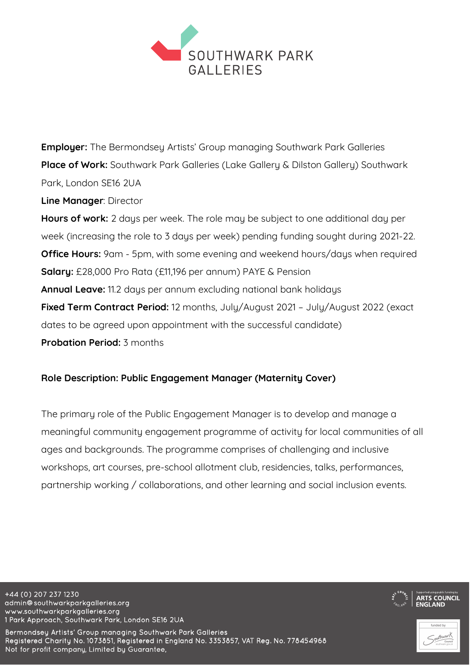

**Employer:** The Bermondsey Artists' Group managing Southwark Park Galleries **Place of Work:** Southwark Park Galleries (Lake Gallery & Dilston Gallery) Southwark Park, London SE16 2UA **Line Manager**: Director **Hours of work:** 2 days per week. The role may be subject to one additional day per week (increasing the role to 3 days per week) pending funding sought during 2021-22. **Office Hours:** 9am - 5pm, with some evening and weekend hours/days when required **Salary:** £28,000 Pro Rata (£11,196 per annum) PAYE & Pension **Annual Leave:** 11.2 days per annum excluding national bank holidays **Fixed Term Contract Period:** 12 months, July/August 2021 – July/August 2022 (exact dates to be agreed upon appointment with the successful candidate) **Probation Period:** 3 months

### **Role Description: Public Engagement Manager (Maternity Cover)**

The primary role of the Public Engagement Manager is to develop and manage a meaningful community engagement programme of activity for local communities of all ages and backgrounds. The programme comprises of challenging and inclusive workshops, art courses, pre-school allotment club, residencies, talks, performances, partnership working / collaborations, and other learning and social inclusion events.

+44 (0) 207 237 1230 admin@southwarkparkgalleries.org www.southwarkparkgalleries.org 1 Park Approach, Southwark Park, London SE16 2UA

Bermondsey Artists' Group managing Southwark Park Galleries Registered Charity No. 1073851, Registered in England No. 3353857, VAT Reg. No. 778454968 Not for profit company, Limited by Guarantee,



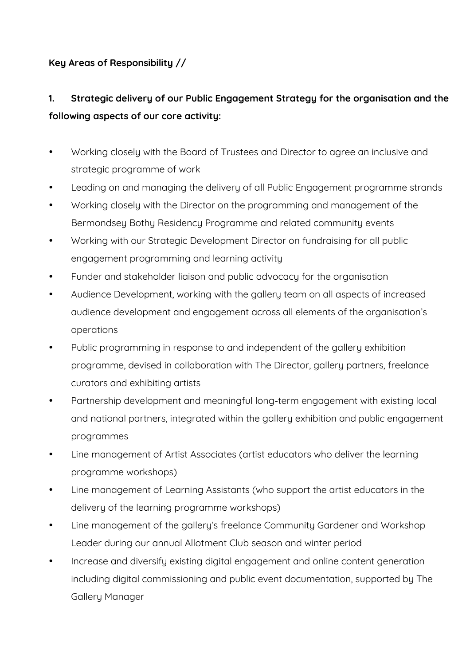# **Key Areas of Responsibility //**

# **1. Strategic delivery of our Public Engagement Strategy for the organisation and the following aspects of our core activity:**

- Working closely with the Board of Trustees and Director to agree an inclusive and strategic programme of work
- Leading on and managing the delivery of all Public Engagement programme strands
- Working closely with the Director on the programming and management of the Bermondsey Bothy Residency Programme and related community events
- Working with our Strategic Development Director on fundraising for all public engagement programming and learning activity
- Funder and stakeholder liaison and public advocacy for the organisation
- Audience Development, working with the gallery team on all aspects of increased audience development and engagement across all elements of the organisation's operations
- Public programming in response to and independent of the gallery exhibition programme, devised in collaboration with The Director, gallery partners, freelance curators and exhibiting artists
- Partnership development and meaningful long-term engagement with existing local and national partners, integrated within the gallery exhibition and public engagement programmes
- Line management of Artist Associates (artist educators who deliver the learning programme workshops)
- Line management of Learning Assistants (who support the artist educators in the delivery of the learning programme workshops)
- Line management of the gallery's freelance Community Gardener and Workshop Leader during our annual Allotment Club season and winter period
- Increase and diversify existing digital engagement and online content generation including digital commissioning and public event documentation, supported by The Gallery Manager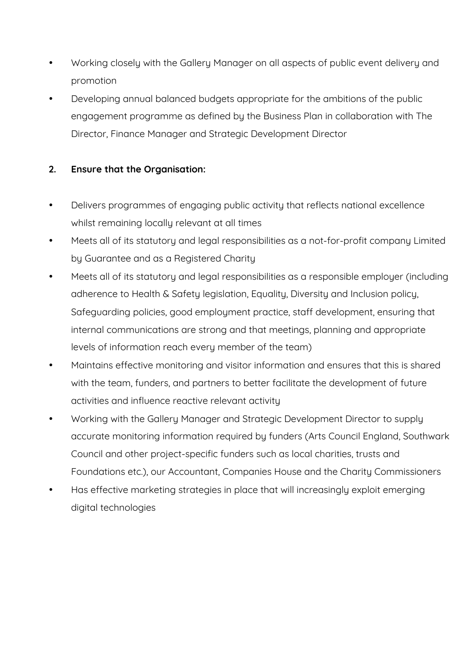- Working closely with the Gallery Manager on all aspects of public event delivery and promotion
- Developing annual balanced budgets appropriate for the ambitions of the public engagement programme as defined by the Business Plan in collaboration with The Director, Finance Manager and Strategic Development Director

## **2. Ensure that the Organisation:**

- Delivers programmes of engaging public activity that reflects national excellence whilst remaining locally relevant at all times
- Meets all of its statutory and legal responsibilities as a not-for-profit company Limited by Guarantee and as a Registered Charity
- Meets all of its statutory and legal responsibilities as a responsible employer (including adherence to Health & Safety legislation, Equality, Diversity and Inclusion policy, Safeguarding policies, good employment practice, staff development, ensuring that internal communications are strong and that meetings, planning and appropriate levels of information reach every member of the team)
- Maintains effective monitoring and visitor information and ensures that this is shared with the team, funders, and partners to better facilitate the development of future activities and influence reactive relevant activity
- Working with the Gallery Manager and Strategic Development Director to supply accurate monitoring information required by funders (Arts Council England, Southwark Council and other project-specific funders such as local charities, trusts and Foundations etc.), our Accountant, Companies House and the Charity Commissioners
- Has effective marketing strategies in place that will increasingly exploit emerging digital technologies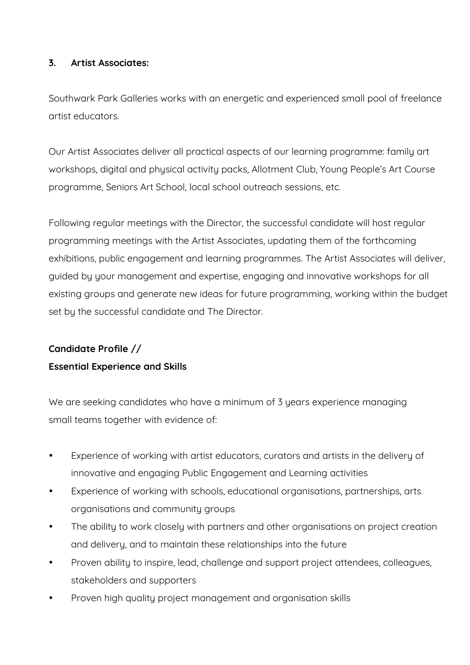### **3. Artist Associates:**

Southwark Park Galleries works with an energetic and experienced small pool of freelance artist educators.

Our Artist Associates deliver all practical aspects of our learning programme: family art workshops, digital and physical activity packs, Allotment Club, Young People's Art Course programme, Seniors Art School, local school outreach sessions, etc.

Following regular meetings with the Director, the successful candidate will host regular programming meetings with the Artist Associates, updating them of the forthcoming exhibitions, public engagement and learning programmes. The Artist Associates will deliver, guided by your management and expertise, engaging and innovative workshops for all existing groups and generate new ideas for future programming, working within the budget set by the successful candidate and The Director.

## **Candidate Profile //**

## **Essential Experience and Skills**

We are seeking candidates who have a minimum of 3 years experience managing small teams together with evidence of:

- Experience of working with artist educators, curators and artists in the delivery of innovative and engaging Public Engagement and Learning activities
- Experience of working with schools, educational organisations, partnerships, arts organisations and community groups
- The ability to work closely with partners and other organisations on project creation and delivery, and to maintain these relationships into the future
- Proven ability to inspire, lead, challenge and support project attendees, colleagues, stakeholders and supporters
- Proven high quality project management and organisation skills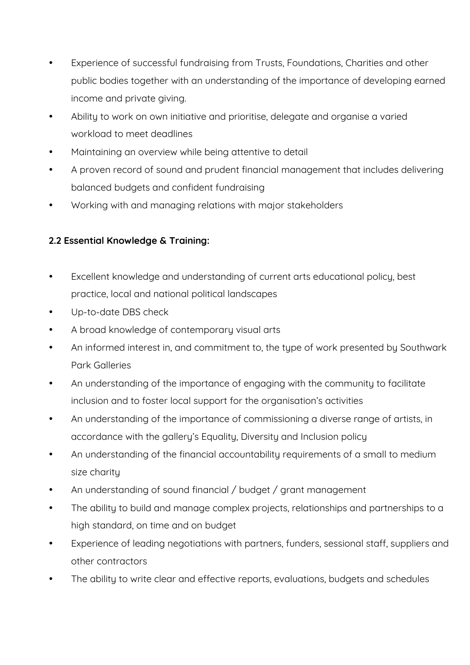- Experience of successful fundraising from Trusts, Foundations, Charities and other public bodies together with an understanding of the importance of developing earned income and private giving.
- Ability to work on own initiative and prioritise, delegate and organise a varied workload to meet deadlines
- Maintaining an overview while being attentive to detail
- A proven record of sound and prudent financial management that includes delivering balanced budgets and confident fundraising
- Working with and managing relations with major stakeholders

# **2.2 Essential Knowledge & Training:**

- Excellent knowledge and understanding of current arts educational policy, best practice, local and national political landscapes
- Up-to-date DBS check
- A broad knowledge of contemporary visual arts
- An informed interest in, and commitment to, the type of work presented by Southwark Park Galleries
- An understanding of the importance of engaging with the community to facilitate inclusion and to foster local support for the organisation's activities
- An understanding of the importance of commissioning a diverse range of artists, in accordance with the gallery's Equality, Diversity and Inclusion policy
- An understanding of the financial accountability requirements of a small to medium size charity
- An understanding of sound financial / budget / grant management
- The ability to build and manage complex projects, relationships and partnerships to a high standard, on time and on budget
- Experience of leading negotiations with partners, funders, sessional staff, suppliers and other contractors
- The ability to write clear and effective reports, evaluations, budgets and schedules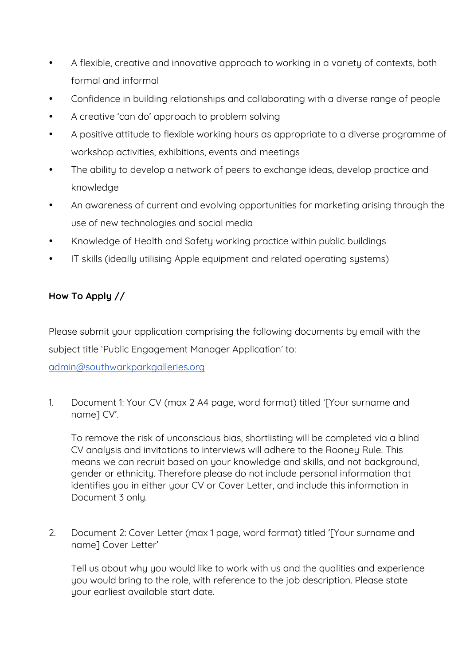- A flexible, creative and innovative approach to working in a variety of contexts, both formal and informal
- Confidence in building relationships and collaborating with a diverse range of people
- A creative 'can do' approach to problem solving
- A positive attitude to flexible working hours as appropriate to a diverse programme of workshop activities, exhibitions, events and meetings
- The ability to develop a network of peers to exchange ideas, develop practice and knowledge
- An awareness of current and evolving opportunities for marketing arising through the use of new technologies and social media
- Knowledge of Health and Safety working practice within public buildings
- IT skills (ideally utilising Apple equipment and related operating systems)

# **How To Apply //**

Please submit your application comprising the following documents by email with the subject title 'Public Engagement Manager Application' to:

admin@southwarkparkgalleries.org

1. Document 1: Your CV (max 2 A4 page, word format) titled '[Your surname and name] CV'.

To remove the risk of unconscious bias, shortlisting will be completed via a blind CV analysis and invitations to interviews will adhere to the Rooney Rule. This means we can recruit based on your knowledge and skills, and not background, gender or ethnicity. Therefore please do not include personal information that identifies you in either your CV or Cover Letter, and include this information in Document 3 onlu.

2. Document 2: Cover Letter (max 1 page, word format) titled '[Your surname and name] Cover Letter'

Tell us about why you would like to work with us and the qualities and experience you would bring to the role, with reference to the job description. Please state your earliest available start date.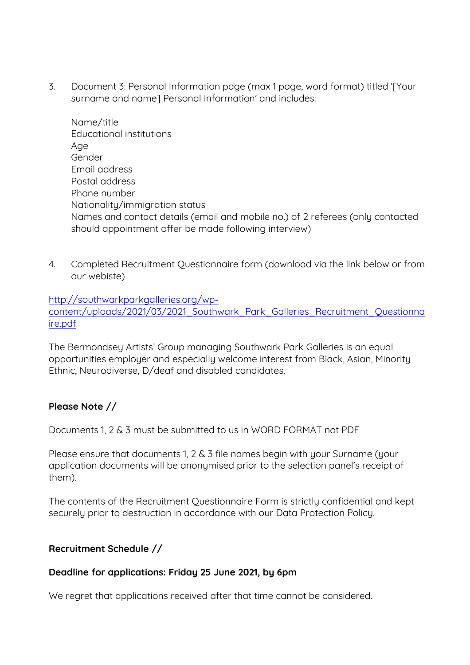3. Document 3: Personal Information page (max 1 page, word format) titled '[Your surname and name] Personal Information' and includes:

Name/title Educational institutions Age Gender Email address Postal address Phone number Nationality/immigration status Names and contact details (email and mobile no.) of 2 referees (only contacted should appointment offer be made following interview)

4. Completed Recruitment Questionnaire form (download via the link below or from our webiste)

### http://southwarkparkgalleries.org/wpcontent/uploads/2021/03/2021\_Southwark\_Park\_Galleries\_Recruitment\_Questionna ire.pdf

The Bermondsey Artists' Group managing Southwark Park Galleries is an equal opportunities employer and especially welcome interest from Black, Asian, Minority Ethnic, Neurodiverse, D/deaf and disabled candidates.

### **Please Note //**

Documents 1, 2 & 3 must be submitted to us in WORD FORMAT not PDF

Please ensure that documents 1, 2 & 3 file names begin with your Surname (your application documents will be anonymised prior to the selection panel's receipt of them).

The contents of the Recruitment Questionnaire Form is strictly confidential and kept securely prior to destruction in accordance with our Data Protection Policy.

## **Recruitment Schedule //**

### **Deadline for applications: Friday 25 June 2021, by 6pm**

We regret that applications received after that time cannot be considered.